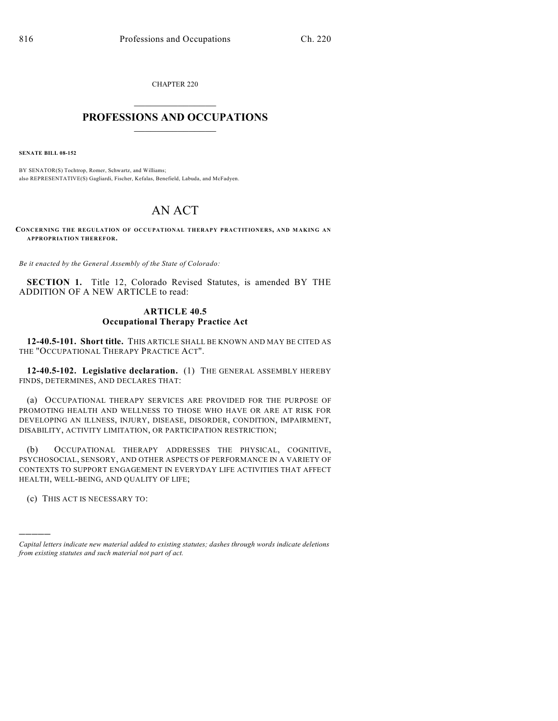CHAPTER 220

## $\overline{\phantom{a}}$  . The set of the set of the set of the set of the set of the set of the set of the set of the set of the set of the set of the set of the set of the set of the set of the set of the set of the set of the set o **PROFESSIONS AND OCCUPATIONS**  $\frac{1}{2}$  ,  $\frac{1}{2}$  ,  $\frac{1}{2}$  ,  $\frac{1}{2}$  ,  $\frac{1}{2}$  ,  $\frac{1}{2}$

**SENATE BILL 08-152**

BY SENATOR(S) Tochtrop, Romer, Schwartz, and Williams; also REPRESENTATIVE(S) Gagliardi, Fischer, Kefalas, Benefield, Labuda, and McFadyen.

## AN ACT

**CONCERNING THE REGULATION OF OCCUPATIONAL THERAPY PRACTITIONERS, AND MAKING AN APPROPRIATION THEREFOR.**

*Be it enacted by the General Assembly of the State of Colorado:*

**SECTION 1.** Title 12, Colorado Revised Statutes, is amended BY THE ADDITION OF A NEW ARTICLE to read:

## **ARTICLE 40.5 Occupational Therapy Practice Act**

**12-40.5-101. Short title.** THIS ARTICLE SHALL BE KNOWN AND MAY BE CITED AS THE "OCCUPATIONAL THERAPY PRACTICE ACT".

**12-40.5-102. Legislative declaration.** (1) THE GENERAL ASSEMBLY HEREBY FINDS, DETERMINES, AND DECLARES THAT:

(a) OCCUPATIONAL THERAPY SERVICES ARE PROVIDED FOR THE PURPOSE OF PROMOTING HEALTH AND WELLNESS TO THOSE WHO HAVE OR ARE AT RISK FOR DEVELOPING AN ILLNESS, INJURY, DISEASE, DISORDER, CONDITION, IMPAIRMENT, DISABILITY, ACTIVITY LIMITATION, OR PARTICIPATION RESTRICTION;

(b) OCCUPATIONAL THERAPY ADDRESSES THE PHYSICAL, COGNITIVE, PSYCHOSOCIAL, SENSORY, AND OTHER ASPECTS OF PERFORMANCE IN A VARIETY OF CONTEXTS TO SUPPORT ENGAGEMENT IN EVERYDAY LIFE ACTIVITIES THAT AFFECT HEALTH, WELL-BEING, AND QUALITY OF LIFE;

(c) THIS ACT IS NECESSARY TO:

)))))

*Capital letters indicate new material added to existing statutes; dashes through words indicate deletions from existing statutes and such material not part of act.*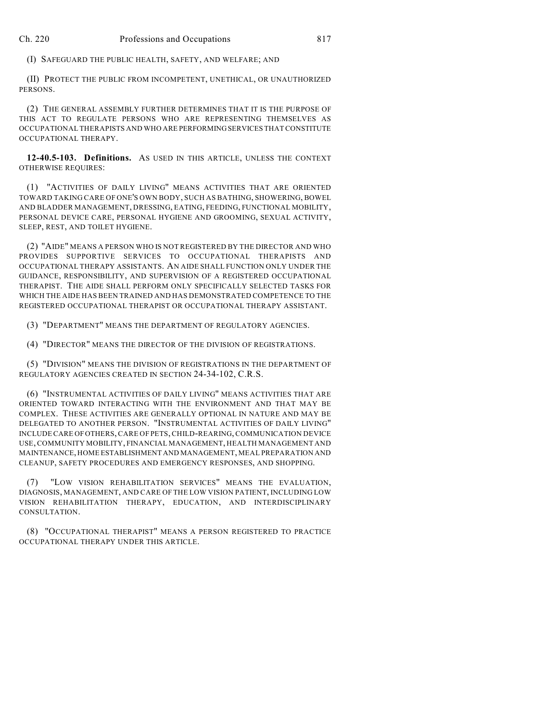(I) SAFEGUARD THE PUBLIC HEALTH, SAFETY, AND WELFARE; AND

(II) PROTECT THE PUBLIC FROM INCOMPETENT, UNETHICAL, OR UNAUTHORIZED PERSONS.

(2) THE GENERAL ASSEMBLY FURTHER DETERMINES THAT IT IS THE PURPOSE OF THIS ACT TO REGULATE PERSONS WHO ARE REPRESENTING THEMSELVES AS OCCUPATIONAL THERAPISTS AND WHO ARE PERFORMING SERVICES THAT CONSTITUTE OCCUPATIONAL THERAPY.

**12-40.5-103. Definitions.** AS USED IN THIS ARTICLE, UNLESS THE CONTEXT OTHERWISE REQUIRES:

(1) "ACTIVITIES OF DAILY LIVING" MEANS ACTIVITIES THAT ARE ORIENTED TOWARD TAKING CARE OF ONE'S OWN BODY, SUCH AS BATHING, SHOWERING, BOWEL AND BLADDER MANAGEMENT, DRESSING, EATING, FEEDING, FUNCTIONAL MOBILITY, PERSONAL DEVICE CARE, PERSONAL HYGIENE AND GROOMING, SEXUAL ACTIVITY, SLEEP, REST, AND TOILET HYGIENE.

(2) "AIDE" MEANS A PERSON WHO IS NOT REGISTERED BY THE DIRECTOR AND WHO PROVIDES SUPPORTIVE SERVICES TO OCCUPATIONAL THERAPISTS AND OCCUPATIONAL THERAPY ASSISTANTS. AN AIDE SHALL FUNCTION ONLY UNDER THE GUIDANCE, RESPONSIBILITY, AND SUPERVISION OF A REGISTERED OCCUPATIONAL THERAPIST. THE AIDE SHALL PERFORM ONLY SPECIFICALLY SELECTED TASKS FOR WHICH THE AIDE HAS BEEN TRAINED AND HAS DEMONSTRATED COMPETENCE TO THE REGISTERED OCCUPATIONAL THERAPIST OR OCCUPATIONAL THERAPY ASSISTANT.

(3) "DEPARTMENT" MEANS THE DEPARTMENT OF REGULATORY AGENCIES.

(4) "DIRECTOR" MEANS THE DIRECTOR OF THE DIVISION OF REGISTRATIONS.

(5) "DIVISION" MEANS THE DIVISION OF REGISTRATIONS IN THE DEPARTMENT OF REGULATORY AGENCIES CREATED IN SECTION 24-34-102, C.R.S.

(6) "INSTRUMENTAL ACTIVITIES OF DAILY LIVING" MEANS ACTIVITIES THAT ARE ORIENTED TOWARD INTERACTING WITH THE ENVIRONMENT AND THAT MAY BE COMPLEX. THESE ACTIVITIES ARE GENERALLY OPTIONAL IN NATURE AND MAY BE DELEGATED TO ANOTHER PERSON. "INSTRUMENTAL ACTIVITIES OF DAILY LIVING" INCLUDE CARE OF OTHERS, CARE OF PETS, CHILD-REARING, COMMUNICATION DEVICE USE, COMMUNITY MOBILITY, FINANCIAL MANAGEMENT, HEALTH MANAGEMENT AND MAINTENANCE, HOME ESTABLISHMENT AND MANAGEMENT, MEAL PREPARATION AND CLEANUP, SAFETY PROCEDURES AND EMERGENCY RESPONSES, AND SHOPPING.

(7) "LOW VISION REHABILITATION SERVICES" MEANS THE EVALUATION, DIAGNOSIS, MANAGEMENT, AND CARE OF THE LOW VISION PATIENT, INCLUDING LOW VISION REHABILITATION THERAPY, EDUCATION, AND INTERDISCIPLINARY CONSULTATION.

(8) "OCCUPATIONAL THERAPIST" MEANS A PERSON REGISTERED TO PRACTICE OCCUPATIONAL THERAPY UNDER THIS ARTICLE.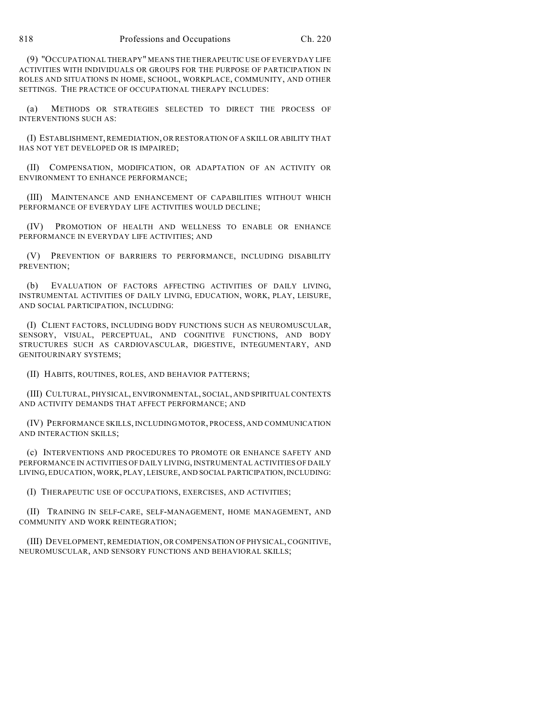(9) "OCCUPATIONAL THERAPY" MEANS THE THERAPEUTIC USE OF EVERYDAY LIFE ACTIVITIES WITH INDIVIDUALS OR GROUPS FOR THE PURPOSE OF PARTICIPATION IN ROLES AND SITUATIONS IN HOME, SCHOOL, WORKPLACE, COMMUNITY, AND OTHER SETTINGS. THE PRACTICE OF OCCUPATIONAL THERAPY INCLUDES:

(a) METHODS OR STRATEGIES SELECTED TO DIRECT THE PROCESS OF INTERVENTIONS SUCH AS:

(I) ESTABLISHMENT, REMEDIATION, OR RESTORATION OF A SKILL OR ABILITY THAT HAS NOT YET DEVELOPED OR IS IMPAIRED;

(II) COMPENSATION, MODIFICATION, OR ADAPTATION OF AN ACTIVITY OR ENVIRONMENT TO ENHANCE PERFORMANCE;

(III) MAINTENANCE AND ENHANCEMENT OF CAPABILITIES WITHOUT WHICH PERFORMANCE OF EVERYDAY LIFE ACTIVITIES WOULD DECLINE;

(IV) PROMOTION OF HEALTH AND WELLNESS TO ENABLE OR ENHANCE PERFORMANCE IN EVERYDAY LIFE ACTIVITIES; AND

(V) PREVENTION OF BARRIERS TO PERFORMANCE, INCLUDING DISABILITY PREVENTION;

(b) EVALUATION OF FACTORS AFFECTING ACTIVITIES OF DAILY LIVING, INSTRUMENTAL ACTIVITIES OF DAILY LIVING, EDUCATION, WORK, PLAY, LEISURE, AND SOCIAL PARTICIPATION, INCLUDING:

(I) CLIENT FACTORS, INCLUDING BODY FUNCTIONS SUCH AS NEUROMUSCULAR, SENSORY, VISUAL, PERCEPTUAL, AND COGNITIVE FUNCTIONS, AND BODY STRUCTURES SUCH AS CARDIOVASCULAR, DIGESTIVE, INTEGUMENTARY, AND GENITOURINARY SYSTEMS;

(II) HABITS, ROUTINES, ROLES, AND BEHAVIOR PATTERNS;

(III) CULTURAL, PHYSICAL, ENVIRONMENTAL, SOCIAL, AND SPIRITUAL CONTEXTS AND ACTIVITY DEMANDS THAT AFFECT PERFORMANCE; AND

(IV) PERFORMANCE SKILLS, INCLUDING MOTOR, PROCESS, AND COMMUNICATION AND INTERACTION SKILLS;

(c) INTERVENTIONS AND PROCEDURES TO PROMOTE OR ENHANCE SAFETY AND PERFORMANCE IN ACTIVITIES OF DAILY LIVING, INSTRUMENTAL ACTIVITIES OF DAILY LIVING, EDUCATION, WORK, PLAY, LEISURE, AND SOCIAL PARTICIPATION, INCLUDING:

(I) THERAPEUTIC USE OF OCCUPATIONS, EXERCISES, AND ACTIVITIES;

(II) TRAINING IN SELF-CARE, SELF-MANAGEMENT, HOME MANAGEMENT, AND COMMUNITY AND WORK REINTEGRATION;

(III) DEVELOPMENT, REMEDIATION, OR COMPENSATION OF PHYSICAL, COGNITIVE, NEUROMUSCULAR, AND SENSORY FUNCTIONS AND BEHAVIORAL SKILLS;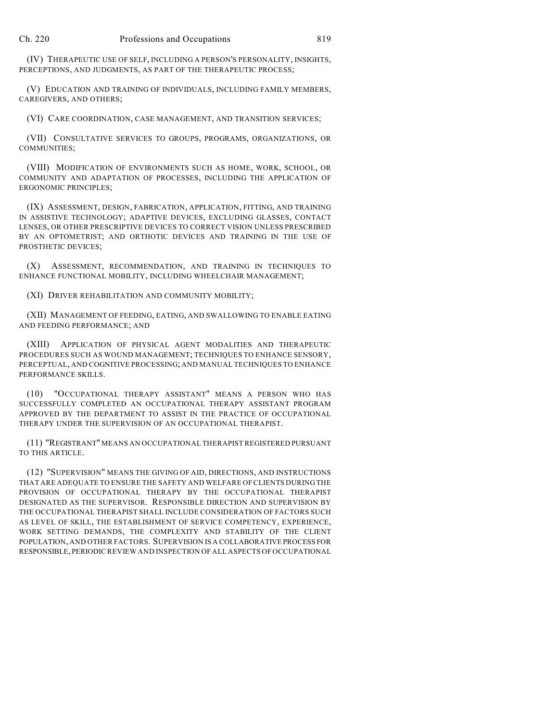(IV) THERAPEUTIC USE OF SELF, INCLUDING A PERSON'S PERSONALITY, INSIGHTS, PERCEPTIONS, AND JUDGMENTS, AS PART OF THE THERAPEUTIC PROCESS;

(V) EDUCATION AND TRAINING OF INDIVIDUALS, INCLUDING FAMILY MEMBERS, CAREGIVERS, AND OTHERS;

(VI) CARE COORDINATION, CASE MANAGEMENT, AND TRANSITION SERVICES;

(VII) CONSULTATIVE SERVICES TO GROUPS, PROGRAMS, ORGANIZATIONS, OR COMMUNITIES;

(VIII) MODIFICATION OF ENVIRONMENTS SUCH AS HOME, WORK, SCHOOL, OR COMMUNITY AND ADAPTATION OF PROCESSES, INCLUDING THE APPLICATION OF ERGONOMIC PRINCIPLES;

(IX) ASSESSMENT, DESIGN, FABRICATION, APPLICATION, FITTING, AND TRAINING IN ASSISTIVE TECHNOLOGY; ADAPTIVE DEVICES, EXCLUDING GLASSES, CONTACT LENSES, OR OTHER PRESCRIPTIVE DEVICES TO CORRECT VISION UNLESS PRESCRIBED BY AN OPTOMETRIST; AND ORTHOTIC DEVICES AND TRAINING IN THE USE OF PROSTHETIC DEVICES;

(X) ASSESSMENT, RECOMMENDATION, AND TRAINING IN TECHNIQUES TO ENHANCE FUNCTIONAL MOBILITY, INCLUDING WHEELCHAIR MANAGEMENT;

(XI) DRIVER REHABILITATION AND COMMUNITY MOBILITY;

(XII) MANAGEMENT OF FEEDING, EATING, AND SWALLOWING TO ENABLE EATING AND FEEDING PERFORMANCE; AND

(XIII) APPLICATION OF PHYSICAL AGENT MODALITIES AND THERAPEUTIC PROCEDURES SUCH AS WOUND MANAGEMENT; TECHNIQUES TO ENHANCE SENSORY, PERCEPTUAL, AND COGNITIVE PROCESSING; AND MANUAL TECHNIQUES TO ENHANCE PERFORMANCE SKILLS.

(10) "OCCUPATIONAL THERAPY ASSISTANT" MEANS A PERSON WHO HAS SUCCESSFULLY COMPLETED AN OCCUPATIONAL THERAPY ASSISTANT PROGRAM APPROVED BY THE DEPARTMENT TO ASSIST IN THE PRACTICE OF OCCUPATIONAL THERAPY UNDER THE SUPERVISION OF AN OCCUPATIONAL THERAPIST.

(11) "REGISTRANT" MEANS AN OCCUPATIONAL THERAPIST REGISTERED PURSUANT TO THIS ARTICLE.

(12) "SUPERVISION" MEANS THE GIVING OF AID, DIRECTIONS, AND INSTRUCTIONS THAT ARE ADEQUATE TO ENSURE THE SAFETY AND WELFARE OF CLIENTS DURING THE PROVISION OF OCCUPATIONAL THERAPY BY THE OCCUPATIONAL THERAPIST DESIGNATED AS THE SUPERVISOR. RESPONSIBLE DIRECTION AND SUPERVISION BY THE OCCUPATIONAL THERAPIST SHALL INCLUDE CONSIDERATION OF FACTORS SUCH AS LEVEL OF SKILL, THE ESTABLISHMENT OF SERVICE COMPETENCY, EXPERIENCE, WORK SETTING DEMANDS, THE COMPLEXITY AND STABILITY OF THE CLIENT POPULATION, AND OTHER FACTORS. SUPERVISION IS A COLLABORATIVE PROCESS FOR RESPONSIBLE, PERIODIC REVIEW AND INSPECTION OF ALL ASPECTS OF OCCUPATIONAL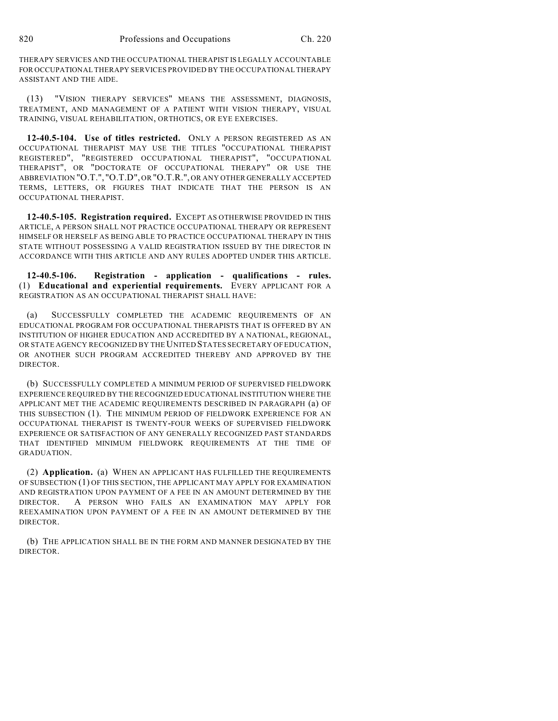THERAPY SERVICES AND THE OCCUPATIONAL THERAPIST IS LEGALLY ACCOUNTABLE FOR OCCUPATIONAL THERAPY SERVICES PROVIDED BY THE OCCUPATIONAL THERAPY ASSISTANT AND THE AIDE.

(13) "VISION THERAPY SERVICES" MEANS THE ASSESSMENT, DIAGNOSIS, TREATMENT, AND MANAGEMENT OF A PATIENT WITH VISION THERAPY, VISUAL TRAINING, VISUAL REHABILITATION, ORTHOTICS, OR EYE EXERCISES.

**12-40.5-104. Use of titles restricted.** ONLY A PERSON REGISTERED AS AN OCCUPATIONAL THERAPIST MAY USE THE TITLES "OCCUPATIONAL THERAPIST REGISTERED", "REGISTERED OCCUPATIONAL THERAPIST", "OCCUPATIONAL THERAPIST", OR "DOCTORATE OF OCCUPATIONAL THERAPY" OR USE THE ABBREVIATION "O.T.", "O.T.D", OR "O.T.R.", OR ANY OTHER GENERALLY ACCEPTED TERMS, LETTERS, OR FIGURES THAT INDICATE THAT THE PERSON IS AN OCCUPATIONAL THERAPIST.

**12-40.5-105. Registration required.** EXCEPT AS OTHERWISE PROVIDED IN THIS ARTICLE, A PERSON SHALL NOT PRACTICE OCCUPATIONAL THERAPY OR REPRESENT HIMSELF OR HERSELF AS BEING ABLE TO PRACTICE OCCUPATIONAL THERAPY IN THIS STATE WITHOUT POSSESSING A VALID REGISTRATION ISSUED BY THE DIRECTOR IN ACCORDANCE WITH THIS ARTICLE AND ANY RULES ADOPTED UNDER THIS ARTICLE.

**12-40.5-106. Registration - application - qualifications - rules.** (1) **Educational and experiential requirements.** EVERY APPLICANT FOR A REGISTRATION AS AN OCCUPATIONAL THERAPIST SHALL HAVE:

(a) SUCCESSFULLY COMPLETED THE ACADEMIC REQUIREMENTS OF AN EDUCATIONAL PROGRAM FOR OCCUPATIONAL THERAPISTS THAT IS OFFERED BY AN INSTITUTION OF HIGHER EDUCATION AND ACCREDITED BY A NATIONAL, REGIONAL, OR STATE AGENCY RECOGNIZED BY THE UNITED STATES SECRETARY OF EDUCATION, OR ANOTHER SUCH PROGRAM ACCREDITED THEREBY AND APPROVED BY THE DIRECTOR.

(b) SUCCESSFULLY COMPLETED A MINIMUM PERIOD OF SUPERVISED FIELDWORK EXPERIENCE REQUIRED BY THE RECOGNIZED EDUCATIONAL INSTITUTION WHERE THE APPLICANT MET THE ACADEMIC REQUIREMENTS DESCRIBED IN PARAGRAPH (a) OF THIS SUBSECTION (1). THE MINIMUM PERIOD OF FIELDWORK EXPERIENCE FOR AN OCCUPATIONAL THERAPIST IS TWENTY-FOUR WEEKS OF SUPERVISED FIELDWORK EXPERIENCE OR SATISFACTION OF ANY GENERALLY RECOGNIZED PAST STANDARDS THAT IDENTIFIED MINIMUM FIELDWORK REQUIREMENTS AT THE TIME OF GRADUATION.

(2) **Application.** (a) WHEN AN APPLICANT HAS FULFILLED THE REQUIREMENTS OF SUBSECTION (1) OF THIS SECTION, THE APPLICANT MAY APPLY FOR EXAMINATION AND REGISTRATION UPON PAYMENT OF A FEE IN AN AMOUNT DETERMINED BY THE DIRECTOR. A PERSON WHO FAILS AN EXAMINATION MAY APPLY FOR REEXAMINATION UPON PAYMENT OF A FEE IN AN AMOUNT DETERMINED BY THE DIRECTOR.

(b) THE APPLICATION SHALL BE IN THE FORM AND MANNER DESIGNATED BY THE DIRECTOR.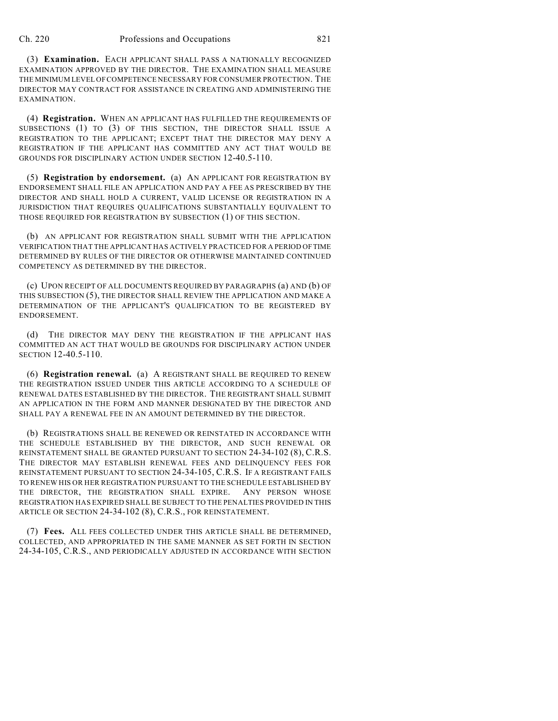(3) **Examination.** EACH APPLICANT SHALL PASS A NATIONALLY RECOGNIZED EXAMINATION APPROVED BY THE DIRECTOR. THE EXAMINATION SHALL MEASURE THE MINIMUM LEVEL OF COMPETENCE NECESSARY FOR CONSUMER PROTECTION. THE DIRECTOR MAY CONTRACT FOR ASSISTANCE IN CREATING AND ADMINISTERING THE EXAMINATION.

(4) **Registration.** WHEN AN APPLICANT HAS FULFILLED THE REQUIREMENTS OF SUBSECTIONS (1) TO (3) OF THIS SECTION, THE DIRECTOR SHALL ISSUE A REGISTRATION TO THE APPLICANT; EXCEPT THAT THE DIRECTOR MAY DENY A REGISTRATION IF THE APPLICANT HAS COMMITTED ANY ACT THAT WOULD BE GROUNDS FOR DISCIPLINARY ACTION UNDER SECTION 12-40.5-110.

(5) **Registration by endorsement.** (a) AN APPLICANT FOR REGISTRATION BY ENDORSEMENT SHALL FILE AN APPLICATION AND PAY A FEE AS PRESCRIBED BY THE DIRECTOR AND SHALL HOLD A CURRENT, VALID LICENSE OR REGISTRATION IN A JURISDICTION THAT REQUIRES QUALIFICATIONS SUBSTANTIALLY EQUIVALENT TO THOSE REQUIRED FOR REGISTRATION BY SUBSECTION (1) OF THIS SECTION.

(b) AN APPLICANT FOR REGISTRATION SHALL SUBMIT WITH THE APPLICATION VERIFICATION THAT THE APPLICANT HAS ACTIVELY PRACTICED FOR A PERIOD OF TIME DETERMINED BY RULES OF THE DIRECTOR OR OTHERWISE MAINTAINED CONTINUED COMPETENCY AS DETERMINED BY THE DIRECTOR.

(c) UPON RECEIPT OF ALL DOCUMENTS REQUIRED BY PARAGRAPHS (a) AND (b) OF THIS SUBSECTION (5), THE DIRECTOR SHALL REVIEW THE APPLICATION AND MAKE A DETERMINATION OF THE APPLICANT'S QUALIFICATION TO BE REGISTERED BY ENDORSEMENT.

(d) THE DIRECTOR MAY DENY THE REGISTRATION IF THE APPLICANT HAS COMMITTED AN ACT THAT WOULD BE GROUNDS FOR DISCIPLINARY ACTION UNDER SECTION 12-40.5-110.

(6) **Registration renewal.** (a) A REGISTRANT SHALL BE REQUIRED TO RENEW THE REGISTRATION ISSUED UNDER THIS ARTICLE ACCORDING TO A SCHEDULE OF RENEWAL DATES ESTABLISHED BY THE DIRECTOR. THE REGISTRANT SHALL SUBMIT AN APPLICATION IN THE FORM AND MANNER DESIGNATED BY THE DIRECTOR AND SHALL PAY A RENEWAL FEE IN AN AMOUNT DETERMINED BY THE DIRECTOR.

(b) REGISTRATIONS SHALL BE RENEWED OR REINSTATED IN ACCORDANCE WITH THE SCHEDULE ESTABLISHED BY THE DIRECTOR, AND SUCH RENEWAL OR REINSTATEMENT SHALL BE GRANTED PURSUANT TO SECTION 24-34-102 (8), C.R.S. THE DIRECTOR MAY ESTABLISH RENEWAL FEES AND DELINQUENCY FEES FOR REINSTATEMENT PURSUANT TO SECTION 24-34-105, C.R.S. IF A REGISTRANT FAILS TO RENEW HIS OR HER REGISTRATION PURSUANT TO THE SCHEDULE ESTABLISHED BY THE DIRECTOR, THE REGISTRATION SHALL EXPIRE. ANY PERSON WHOSE REGISTRATION HAS EXPIRED SHALL BE SUBJECT TO THE PENALTIES PROVIDED IN THIS ARTICLE OR SECTION 24-34-102 (8), C.R.S., FOR REINSTATEMENT.

(7) **Fees.** ALL FEES COLLECTED UNDER THIS ARTICLE SHALL BE DETERMINED, COLLECTED, AND APPROPRIATED IN THE SAME MANNER AS SET FORTH IN SECTION 24-34-105, C.R.S., AND PERIODICALLY ADJUSTED IN ACCORDANCE WITH SECTION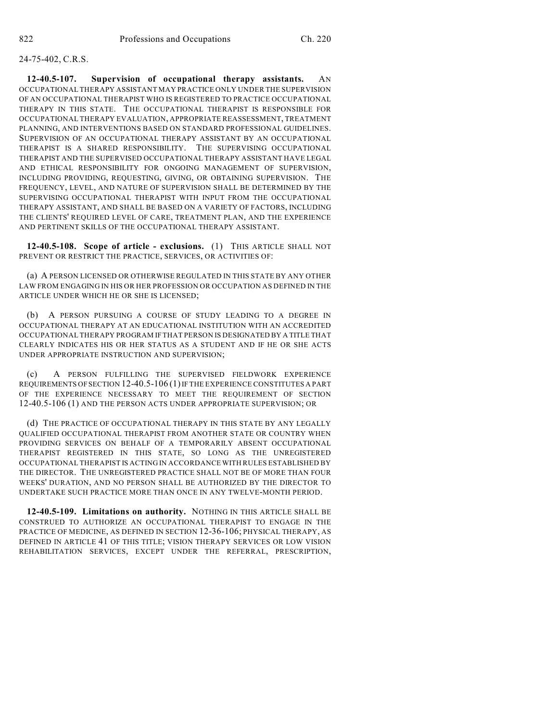## 24-75-402, C.R.S.

**12-40.5-107. Supervision of occupational therapy assistants.** AN OCCUPATIONAL THERAPY ASSISTANT MAY PRACTICE ONLY UNDER THE SUPERVISION OF AN OCCUPATIONAL THERAPIST WHO IS REGISTERED TO PRACTICE OCCUPATIONAL THERAPY IN THIS STATE. THE OCCUPATIONAL THERAPIST IS RESPONSIBLE FOR OCCUPATIONAL THERAPY EVALUATION, APPROPRIATE REASSESSMENT, TREATMENT PLANNING, AND INTERVENTIONS BASED ON STANDARD PROFESSIONAL GUIDELINES. SUPERVISION OF AN OCCUPATIONAL THERAPY ASSISTANT BY AN OCCUPATIONAL THERAPIST IS A SHARED RESPONSIBILITY. THE SUPERVISING OCCUPATIONAL THERAPIST AND THE SUPERVISED OCCUPATIONAL THERAPY ASSISTANT HAVE LEGAL AND ETHICAL RESPONSIBILITY FOR ONGOING MANAGEMENT OF SUPERVISION, INCLUDING PROVIDING, REQUESTING, GIVING, OR OBTAINING SUPERVISION. THE FREQUENCY, LEVEL, AND NATURE OF SUPERVISION SHALL BE DETERMINED BY THE SUPERVISING OCCUPATIONAL THERAPIST WITH INPUT FROM THE OCCUPATIONAL THERAPY ASSISTANT, AND SHALL BE BASED ON A VARIETY OF FACTORS, INCLUDING THE CLIENTS' REQUIRED LEVEL OF CARE, TREATMENT PLAN, AND THE EXPERIENCE AND PERTINENT SKILLS OF THE OCCUPATIONAL THERAPY ASSISTANT.

**12-40.5-108. Scope of article - exclusions.** (1) THIS ARTICLE SHALL NOT PREVENT OR RESTRICT THE PRACTICE, SERVICES, OR ACTIVITIES OF:

(a) A PERSON LICENSED OR OTHERWISE REGULATED IN THIS STATE BY ANY OTHER LAW FROM ENGAGING IN HIS OR HER PROFESSION OR OCCUPATION AS DEFINED IN THE ARTICLE UNDER WHICH HE OR SHE IS LICENSED;

(b) A PERSON PURSUING A COURSE OF STUDY LEADING TO A DEGREE IN OCCUPATIONAL THERAPY AT AN EDUCATIONAL INSTITUTION WITH AN ACCREDITED OCCUPATIONAL THERAPY PROGRAM IF THAT PERSON IS DESIGNATED BY A TITLE THAT CLEARLY INDICATES HIS OR HER STATUS AS A STUDENT AND IF HE OR SHE ACTS UNDER APPROPRIATE INSTRUCTION AND SUPERVISION;

(c) A PERSON FULFILLING THE SUPERVISED FIELDWORK EXPERIENCE REQUIREMENTS OF SECTION 12-40.5-106 (1) IF THE EXPERIENCE CONSTITUTES A PART OF THE EXPERIENCE NECESSARY TO MEET THE REQUIREMENT OF SECTION 12-40.5-106 (1) AND THE PERSON ACTS UNDER APPROPRIATE SUPERVISION; OR

(d) THE PRACTICE OF OCCUPATIONAL THERAPY IN THIS STATE BY ANY LEGALLY QUALIFIED OCCUPATIONAL THERAPIST FROM ANOTHER STATE OR COUNTRY WHEN PROVIDING SERVICES ON BEHALF OF A TEMPORARILY ABSENT OCCUPATIONAL THERAPIST REGISTERED IN THIS STATE, SO LONG AS THE UNREGISTERED OCCUPATIONAL THERAPIST IS ACTING IN ACCORDANCE WITH RULES ESTABLISHED BY THE DIRECTOR. THE UNREGISTERED PRACTICE SHALL NOT BE OF MORE THAN FOUR WEEKS' DURATION, AND NO PERSON SHALL BE AUTHORIZED BY THE DIRECTOR TO UNDERTAKE SUCH PRACTICE MORE THAN ONCE IN ANY TWELVE-MONTH PERIOD.

**12-40.5-109. Limitations on authority.** NOTHING IN THIS ARTICLE SHALL BE CONSTRUED TO AUTHORIZE AN OCCUPATIONAL THERAPIST TO ENGAGE IN THE PRACTICE OF MEDICINE, AS DEFINED IN SECTION 12-36-106; PHYSICAL THERAPY, AS DEFINED IN ARTICLE 41 OF THIS TITLE; VISION THERAPY SERVICES OR LOW VISION REHABILITATION SERVICES, EXCEPT UNDER THE REFERRAL, PRESCRIPTION,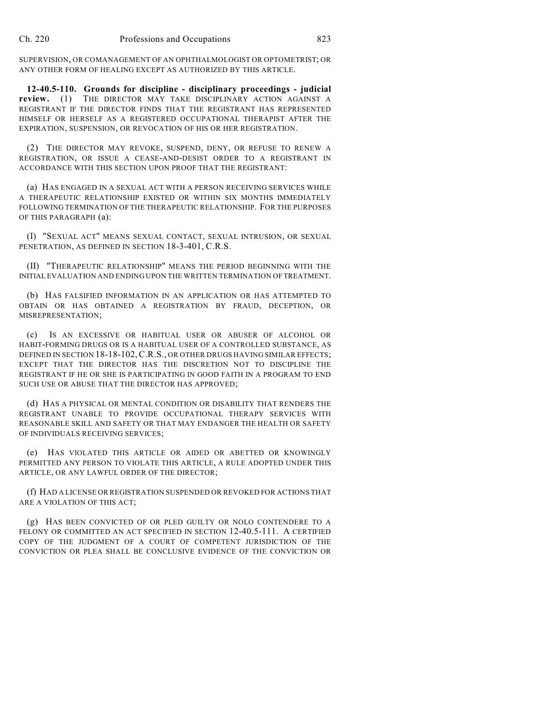SUPERVISION, OR COMANAGEMENT OF AN OPHTHALMOLOGIST OR OPTOMETRIST; OR ANY OTHER FORM OF HEALING EXCEPT AS AUTHORIZED BY THIS ARTICLE.

**12-40.5-110. Grounds for discipline - disciplinary proceedings - judicial review.** (1) THE DIRECTOR MAY TAKE DISCIPLINARY ACTION AGAINST A REGISTRANT IF THE DIRECTOR FINDS THAT THE REGISTRANT HAS REPRESENTED HIMSELF OR HERSELF AS A REGISTERED OCCUPATIONAL THERAPIST AFTER THE EXPIRATION, SUSPENSION, OR REVOCATION OF HIS OR HER REGISTRATION.

(2) THE DIRECTOR MAY REVOKE, SUSPEND, DENY, OR REFUSE TO RENEW A REGISTRATION, OR ISSUE A CEASE-AND-DESIST ORDER TO A REGISTRANT IN ACCORDANCE WITH THIS SECTION UPON PROOF THAT THE REGISTRANT:

(a) HAS ENGAGED IN A SEXUAL ACT WITH A PERSON RECEIVING SERVICES WHILE A THERAPEUTIC RELATIONSHIP EXISTED OR WITHIN SIX MONTHS IMMEDIATELY FOLLOWING TERMINATION OF THE THERAPEUTIC RELATIONSHIP. FOR THE PURPOSES OF THIS PARAGRAPH (a):

(I) "SEXUAL ACT" MEANS SEXUAL CONTACT, SEXUAL INTRUSION, OR SEXUAL PENETRATION, AS DEFINED IN SECTION 18-3-401, C.R.S.

(II) "THERAPEUTIC RELATIONSHIP" MEANS THE PERIOD BEGINNING WITH THE INITIAL EVALUATION AND ENDING UPON THE WRITTEN TERMINATION OF TREATMENT.

(b) HAS FALSIFIED INFORMATION IN AN APPLICATION OR HAS ATTEMPTED TO OBTAIN OR HAS OBTAINED A REGISTRATION BY FRAUD, DECEPTION, OR MISREPRESENTATION;

(c) IS AN EXCESSIVE OR HABITUAL USER OR ABUSER OF ALCOHOL OR HABIT-FORMING DRUGS OR IS A HABITUAL USER OF A CONTROLLED SUBSTANCE, AS DEFINED IN SECTION 18-18-102, C.R.S., OR OTHER DRUGS HAVING SIMILAR EFFECTS; EXCEPT THAT THE DIRECTOR HAS THE DISCRETION NOT TO DISCIPLINE THE REGISTRANT IF HE OR SHE IS PARTICIPATING IN GOOD FAITH IN A PROGRAM TO END SUCH USE OR ABUSE THAT THE DIRECTOR HAS APPROVED;

(d) HAS A PHYSICAL OR MENTAL CONDITION OR DISABILITY THAT RENDERS THE REGISTRANT UNABLE TO PROVIDE OCCUPATIONAL THERAPY SERVICES WITH REASONABLE SKILL AND SAFETY OR THAT MAY ENDANGER THE HEALTH OR SAFETY OF INDIVIDUALS RECEIVING SERVICES;

(e) HAS VIOLATED THIS ARTICLE OR AIDED OR ABETTED OR KNOWINGLY PERMITTED ANY PERSON TO VIOLATE THIS ARTICLE, A RULE ADOPTED UNDER THIS ARTICLE, OR ANY LAWFUL ORDER OF THE DIRECTOR;

(f) HAD A LICENSE OR REGISTRATION SUSPENDED OR REVOKED FOR ACTIONS THAT ARE A VIOLATION OF THIS ACT;

(g) HAS BEEN CONVICTED OF OR PLED GUILTY OR NOLO CONTENDERE TO A FELONY OR COMMITTED AN ACT SPECIFIED IN SECTION 12-40.5-111. A CERTIFIED COPY OF THE JUDGMENT OF A COURT OF COMPETENT JURISDICTION OF THE CONVICTION OR PLEA SHALL BE CONCLUSIVE EVIDENCE OF THE CONVICTION OR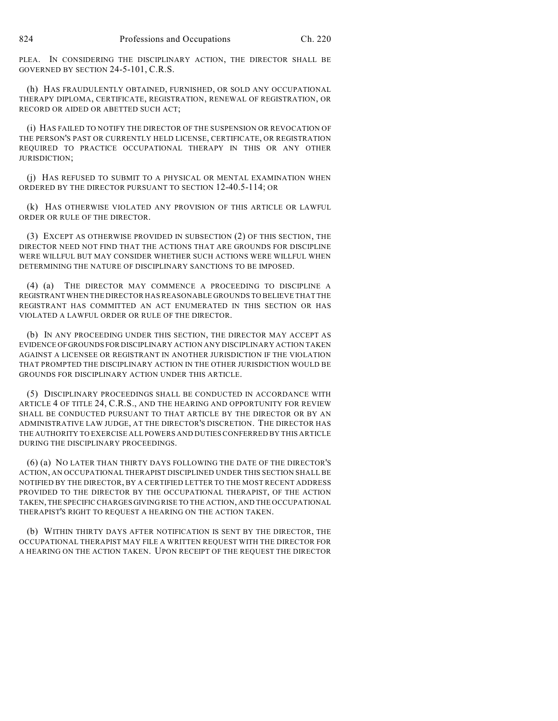PLEA. IN CONSIDERING THE DISCIPLINARY ACTION, THE DIRECTOR SHALL BE GOVERNED BY SECTION 24-5-101, C.R.S.

(h) HAS FRAUDULENTLY OBTAINED, FURNISHED, OR SOLD ANY OCCUPATIONAL THERAPY DIPLOMA, CERTIFICATE, REGISTRATION, RENEWAL OF REGISTRATION, OR RECORD OR AIDED OR ABETTED SUCH ACT;

(i) HAS FAILED TO NOTIFY THE DIRECTOR OF THE SUSPENSION OR REVOCATION OF THE PERSON'S PAST OR CURRENTLY HELD LICENSE, CERTIFICATE, OR REGISTRATION REQUIRED TO PRACTICE OCCUPATIONAL THERAPY IN THIS OR ANY OTHER JURISDICTION;

(j) HAS REFUSED TO SUBMIT TO A PHYSICAL OR MENTAL EXAMINATION WHEN ORDERED BY THE DIRECTOR PURSUANT TO SECTION 12-40.5-114; OR

(k) HAS OTHERWISE VIOLATED ANY PROVISION OF THIS ARTICLE OR LAWFUL ORDER OR RULE OF THE DIRECTOR.

(3) EXCEPT AS OTHERWISE PROVIDED IN SUBSECTION (2) OF THIS SECTION, THE DIRECTOR NEED NOT FIND THAT THE ACTIONS THAT ARE GROUNDS FOR DISCIPLINE WERE WILLFUL BUT MAY CONSIDER WHETHER SUCH ACTIONS WERE WILLFUL WHEN DETERMINING THE NATURE OF DISCIPLINARY SANCTIONS TO BE IMPOSED.

(4) (a) THE DIRECTOR MAY COMMENCE A PROCEEDING TO DISCIPLINE A REGISTRANT WHEN THE DIRECTOR HAS REASONABLE GROUNDS TO BELIEVE THAT THE REGISTRANT HAS COMMITTED AN ACT ENUMERATED IN THIS SECTION OR HAS VIOLATED A LAWFUL ORDER OR RULE OF THE DIRECTOR.

(b) IN ANY PROCEEDING UNDER THIS SECTION, THE DIRECTOR MAY ACCEPT AS EVIDENCE OF GROUNDS FOR DISCIPLINARY ACTION ANY DISCIPLINARY ACTION TAKEN AGAINST A LICENSEE OR REGISTRANT IN ANOTHER JURISDICTION IF THE VIOLATION THAT PROMPTED THE DISCIPLINARY ACTION IN THE OTHER JURISDICTION WOULD BE GROUNDS FOR DISCIPLINARY ACTION UNDER THIS ARTICLE.

(5) DISCIPLINARY PROCEEDINGS SHALL BE CONDUCTED IN ACCORDANCE WITH ARTICLE 4 OF TITLE 24, C.R.S., AND THE HEARING AND OPPORTUNITY FOR REVIEW SHALL BE CONDUCTED PURSUANT TO THAT ARTICLE BY THE DIRECTOR OR BY AN ADMINISTRATIVE LAW JUDGE, AT THE DIRECTOR'S DISCRETION. THE DIRECTOR HAS THE AUTHORITY TO EXERCISE ALL POWERS AND DUTIES CONFERRED BY THIS ARTICLE DURING THE DISCIPLINARY PROCEEDINGS.

(6) (a) NO LATER THAN THIRTY DAYS FOLLOWING THE DATE OF THE DIRECTOR'S ACTION, AN OCCUPATIONAL THERAPIST DISCIPLINED UNDER THIS SECTION SHALL BE NOTIFIED BY THE DIRECTOR, BY A CERTIFIED LETTER TO THE MOST RECENT ADDRESS PROVIDED TO THE DIRECTOR BY THE OCCUPATIONAL THERAPIST, OF THE ACTION TAKEN, THE SPECIFIC CHARGES GIVING RISE TO THE ACTION, AND THE OCCUPATIONAL THERAPIST'S RIGHT TO REQUEST A HEARING ON THE ACTION TAKEN.

(b) WITHIN THIRTY DAYS AFTER NOTIFICATION IS SENT BY THE DIRECTOR, THE OCCUPATIONAL THERAPIST MAY FILE A WRITTEN REQUEST WITH THE DIRECTOR FOR A HEARING ON THE ACTION TAKEN. UPON RECEIPT OF THE REQUEST THE DIRECTOR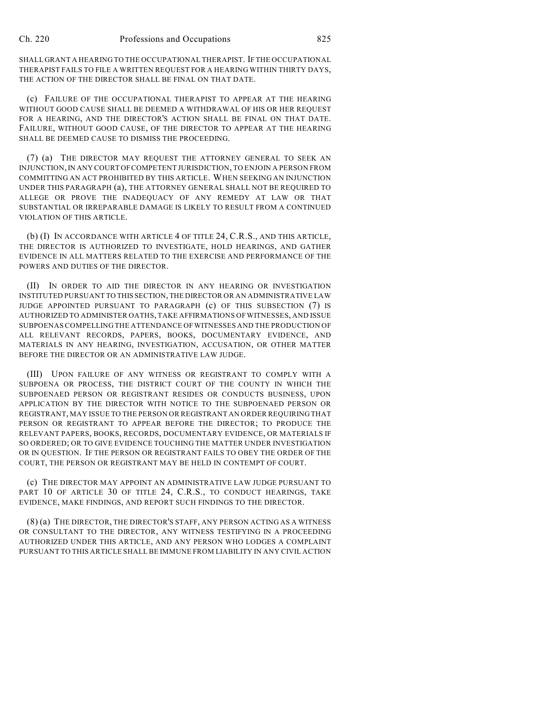SHALL GRANT A HEARING TO THE OCCUPATIONAL THERAPIST. IF THE OCCUPATIONAL THERAPIST FAILS TO FILE A WRITTEN REQUEST FOR A HEARING WITHIN THIRTY DAYS, THE ACTION OF THE DIRECTOR SHALL BE FINAL ON THAT DATE.

(c) FAILURE OF THE OCCUPATIONAL THERAPIST TO APPEAR AT THE HEARING WITHOUT GOOD CAUSE SHALL BE DEEMED A WITHDRAWAL OF HIS OR HER REQUEST FOR A HEARING, AND THE DIRECTOR'S ACTION SHALL BE FINAL ON THAT DATE. FAILURE, WITHOUT GOOD CAUSE, OF THE DIRECTOR TO APPEAR AT THE HEARING SHALL BE DEEMED CAUSE TO DISMISS THE PROCEEDING.

(7) (a) THE DIRECTOR MAY REQUEST THE ATTORNEY GENERAL TO SEEK AN INJUNCTION, IN ANY COURT OF COMPETENT JURISDICTION, TO ENJOIN A PERSON FROM COMMITTING AN ACT PROHIBITED BY THIS ARTICLE. WHEN SEEKING AN INJUNCTION UNDER THIS PARAGRAPH (a), THE ATTORNEY GENERAL SHALL NOT BE REQUIRED TO ALLEGE OR PROVE THE INADEQUACY OF ANY REMEDY AT LAW OR THAT SUBSTANTIAL OR IRREPARABLE DAMAGE IS LIKELY TO RESULT FROM A CONTINUED VIOLATION OF THIS ARTICLE.

(b) (I) IN ACCORDANCE WITH ARTICLE 4 OF TITLE 24, C.R.S., AND THIS ARTICLE, THE DIRECTOR IS AUTHORIZED TO INVESTIGATE, HOLD HEARINGS, AND GATHER EVIDENCE IN ALL MATTERS RELATED TO THE EXERCISE AND PERFORMANCE OF THE POWERS AND DUTIES OF THE DIRECTOR.

(II) IN ORDER TO AID THE DIRECTOR IN ANY HEARING OR INVESTIGATION INSTITUTED PURSUANT TO THIS SECTION, THE DIRECTOR OR AN ADMINISTRATIVE LAW JUDGE APPOINTED PURSUANT TO PARAGRAPH (c) OF THIS SUBSECTION (7) IS AUTHORIZED TO ADMINISTER OATHS, TAKE AFFIRMATIONS OF WITNESSES, AND ISSUE SUBPOENAS COMPELLING THE ATTENDANCE OF WITNESSES AND THE PRODUCTION OF ALL RELEVANT RECORDS, PAPERS, BOOKS, DOCUMENTARY EVIDENCE, AND MATERIALS IN ANY HEARING, INVESTIGATION, ACCUSATION, OR OTHER MATTER BEFORE THE DIRECTOR OR AN ADMINISTRATIVE LAW JUDGE.

(III) UPON FAILURE OF ANY WITNESS OR REGISTRANT TO COMPLY WITH A SUBPOENA OR PROCESS, THE DISTRICT COURT OF THE COUNTY IN WHICH THE SUBPOENAED PERSON OR REGISTRANT RESIDES OR CONDUCTS BUSINESS, UPON APPLICATION BY THE DIRECTOR WITH NOTICE TO THE SUBPOENAED PERSON OR REGISTRANT, MAY ISSUE TO THE PERSON OR REGISTRANT AN ORDER REQUIRING THAT PERSON OR REGISTRANT TO APPEAR BEFORE THE DIRECTOR; TO PRODUCE THE RELEVANT PAPERS, BOOKS, RECORDS, DOCUMENTARY EVIDENCE, OR MATERIALS IF SO ORDERED; OR TO GIVE EVIDENCE TOUCHING THE MATTER UNDER INVESTIGATION OR IN QUESTION. IF THE PERSON OR REGISTRANT FAILS TO OBEY THE ORDER OF THE COURT, THE PERSON OR REGISTRANT MAY BE HELD IN CONTEMPT OF COURT.

(c) THE DIRECTOR MAY APPOINT AN ADMINISTRATIVE LAW JUDGE PURSUANT TO PART 10 OF ARTICLE 30 OF TITLE 24, C.R.S., TO CONDUCT HEARINGS, TAKE EVIDENCE, MAKE FINDINGS, AND REPORT SUCH FINDINGS TO THE DIRECTOR.

(8) (a) THE DIRECTOR, THE DIRECTOR'S STAFF, ANY PERSON ACTING AS A WITNESS OR CONSULTANT TO THE DIRECTOR, ANY WITNESS TESTIFYING IN A PROCEEDING AUTHORIZED UNDER THIS ARTICLE, AND ANY PERSON WHO LODGES A COMPLAINT PURSUANT TO THIS ARTICLE SHALL BE IMMUNE FROM LIABILITY IN ANY CIVIL ACTION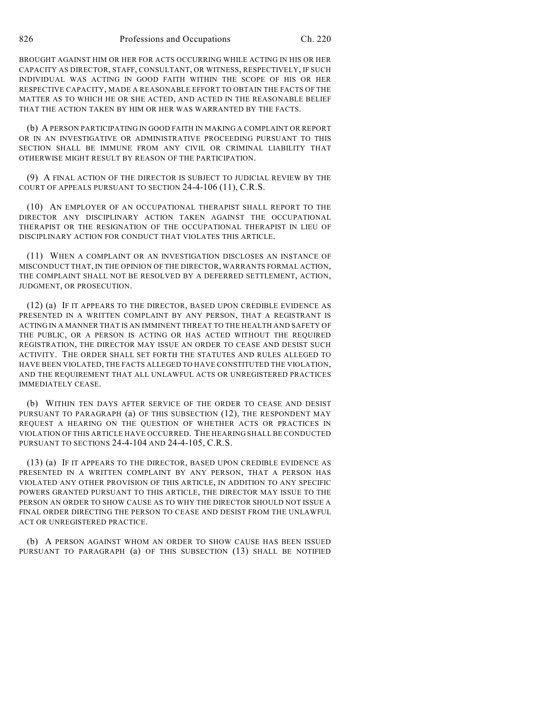BROUGHT AGAINST HIM OR HER FOR ACTS OCCURRING WHILE ACTING IN HIS OR HER CAPACITY AS DIRECTOR, STAFF, CONSULTANT, OR WITNESS, RESPECTIVELY, IF SUCH INDIVIDUAL WAS ACTING IN GOOD FAITH WITHIN THE SCOPE OF HIS OR HER RESPECTIVE CAPACITY, MADE A REASONABLE EFFORT TO OBTAIN THE FACTS OF THE MATTER AS TO WHICH HE OR SHE ACTED, AND ACTED IN THE REASONABLE BELIEF THAT THE ACTION TAKEN BY HIM OR HER WAS WARRANTED BY THE FACTS.

(b) A PERSON PARTICIPATING IN GOOD FAITH IN MAKING A COMPLAINT OR REPORT OR IN AN INVESTIGATIVE OR ADMINISTRATIVE PROCEEDING PURSUANT TO THIS SECTION SHALL BE IMMUNE FROM ANY CIVIL OR CRIMINAL LIABILITY THAT OTHERWISE MIGHT RESULT BY REASON OF THE PARTICIPATION.

(9) A FINAL ACTION OF THE DIRECTOR IS SUBJECT TO JUDICIAL REVIEW BY THE COURT OF APPEALS PURSUANT TO SECTION 24-4-106 (11), C.R.S.

(10) AN EMPLOYER OF AN OCCUPATIONAL THERAPIST SHALL REPORT TO THE DIRECTOR ANY DISCIPLINARY ACTION TAKEN AGAINST THE OCCUPATIONAL THERAPIST OR THE RESIGNATION OF THE OCCUPATIONAL THERAPIST IN LIEU OF DISCIPLINARY ACTION FOR CONDUCT THAT VIOLATES THIS ARTICLE.

(11) WHEN A COMPLAINT OR AN INVESTIGATION DISCLOSES AN INSTANCE OF MISCONDUCT THAT, IN THE OPINION OF THE DIRECTOR, WARRANTS FORMAL ACTION, THE COMPLAINT SHALL NOT BE RESOLVED BY A DEFERRED SETTLEMENT, ACTION, JUDGMENT, OR PROSECUTION.

(12) (a) IF IT APPEARS TO THE DIRECTOR, BASED UPON CREDIBLE EVIDENCE AS PRESENTED IN A WRITTEN COMPLAINT BY ANY PERSON, THAT A REGISTRANT IS ACTING IN A MANNER THAT IS AN IMMINENT THREAT TO THE HEALTH AND SAFETY OF THE PUBLIC, OR A PERSON IS ACTING OR HAS ACTED WITHOUT THE REQUIRED REGISTRATION, THE DIRECTOR MAY ISSUE AN ORDER TO CEASE AND DESIST SUCH ACTIVITY. THE ORDER SHALL SET FORTH THE STATUTES AND RULES ALLEGED TO HAVE BEEN VIOLATED, THE FACTS ALLEGED TO HAVE CONSTITUTED THE VIOLATION, AND THE REQUIREMENT THAT ALL UNLAWFUL ACTS OR UNREGISTERED PRACTICES IMMEDIATELY CEASE.

(b) WITHIN TEN DAYS AFTER SERVICE OF THE ORDER TO CEASE AND DESIST PURSUANT TO PARAGRAPH (a) OF THIS SUBSECTION (12), THE RESPONDENT MAY REQUEST A HEARING ON THE QUESTION OF WHETHER ACTS OR PRACTICES IN VIOLATION OF THIS ARTICLE HAVE OCCURRED. THE HEARING SHALL BE CONDUCTED PURSUANT TO SECTIONS 24-4-104 AND 24-4-105, C.R.S.

(13) (a) IF IT APPEARS TO THE DIRECTOR, BASED UPON CREDIBLE EVIDENCE AS PRESENTED IN A WRITTEN COMPLAINT BY ANY PERSON, THAT A PERSON HAS VIOLATED ANY OTHER PROVISION OF THIS ARTICLE, IN ADDITION TO ANY SPECIFIC POWERS GRANTED PURSUANT TO THIS ARTICLE, THE DIRECTOR MAY ISSUE TO THE PERSON AN ORDER TO SHOW CAUSE AS TO WHY THE DIRECTOR SHOULD NOT ISSUE A FINAL ORDER DIRECTING THE PERSON TO CEASE AND DESIST FROM THE UNLAWFUL ACT OR UNREGISTERED PRACTICE.

(b) A PERSON AGAINST WHOM AN ORDER TO SHOW CAUSE HAS BEEN ISSUED PURSUANT TO PARAGRAPH (a) OF THIS SUBSECTION (13) SHALL BE NOTIFIED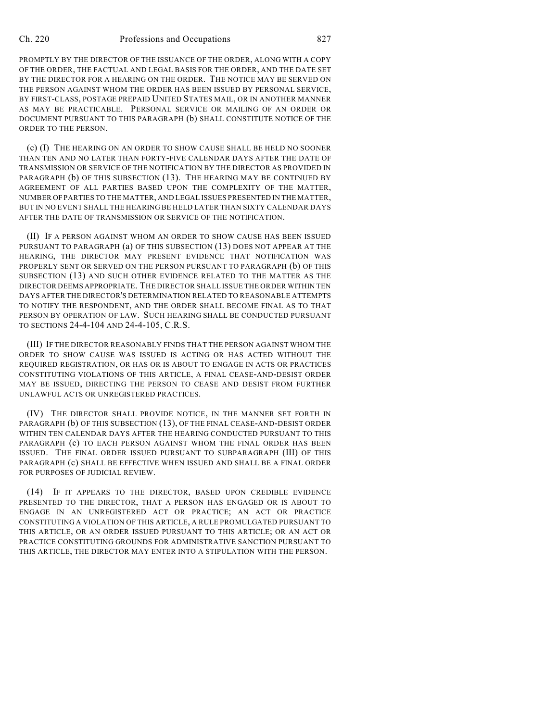PROMPTLY BY THE DIRECTOR OF THE ISSUANCE OF THE ORDER, ALONG WITH A COPY OF THE ORDER, THE FACTUAL AND LEGAL BASIS FOR THE ORDER, AND THE DATE SET BY THE DIRECTOR FOR A HEARING ON THE ORDER. THE NOTICE MAY BE SERVED ON THE PERSON AGAINST WHOM THE ORDER HAS BEEN ISSUED BY PERSONAL SERVICE, BY FIRST-CLASS, POSTAGE PREPAID UNITED STATES MAIL, OR IN ANOTHER MANNER AS MAY BE PRACTICABLE. PERSONAL SERVICE OR MAILING OF AN ORDER OR DOCUMENT PURSUANT TO THIS PARAGRAPH (b) SHALL CONSTITUTE NOTICE OF THE ORDER TO THE PERSON.

(c) (I) THE HEARING ON AN ORDER TO SHOW CAUSE SHALL BE HELD NO SOONER THAN TEN AND NO LATER THAN FORTY-FIVE CALENDAR DAYS AFTER THE DATE OF TRANSMISSION OR SERVICE OF THE NOTIFICATION BY THE DIRECTOR AS PROVIDED IN PARAGRAPH (b) OF THIS SUBSECTION (13). THE HEARING MAY BE CONTINUED BY AGREEMENT OF ALL PARTIES BASED UPON THE COMPLEXITY OF THE MATTER, NUMBER OF PARTIES TO THE MATTER, AND LEGAL ISSUES PRESENTED IN THE MATTER, BUT IN NO EVENT SHALL THE HEARING BE HELD LATER THAN SIXTY CALENDAR DAYS AFTER THE DATE OF TRANSMISSION OR SERVICE OF THE NOTIFICATION.

(II) IF A PERSON AGAINST WHOM AN ORDER TO SHOW CAUSE HAS BEEN ISSUED PURSUANT TO PARAGRAPH (a) OF THIS SUBSECTION (13) DOES NOT APPEAR AT THE HEARING, THE DIRECTOR MAY PRESENT EVIDENCE THAT NOTIFICATION WAS PROPERLY SENT OR SERVED ON THE PERSON PURSUANT TO PARAGRAPH (b) OF THIS SUBSECTION (13) AND SUCH OTHER EVIDENCE RELATED TO THE MATTER AS THE DIRECTOR DEEMS APPROPRIATE. THE DIRECTOR SHALL ISSUE THE ORDER WITHIN TEN DAYS AFTER THE DIRECTOR'S DETERMINATION RELATED TO REASONABLE ATTEMPTS TO NOTIFY THE RESPONDENT, AND THE ORDER SHALL BECOME FINAL AS TO THAT PERSON BY OPERATION OF LAW. SUCH HEARING SHALL BE CONDUCTED PURSUANT TO SECTIONS 24-4-104 AND 24-4-105, C.R.S.

(III) IF THE DIRECTOR REASONABLY FINDS THAT THE PERSON AGAINST WHOM THE ORDER TO SHOW CAUSE WAS ISSUED IS ACTING OR HAS ACTED WITHOUT THE REQUIRED REGISTRATION, OR HAS OR IS ABOUT TO ENGAGE IN ACTS OR PRACTICES CONSTITUTING VIOLATIONS OF THIS ARTICLE, A FINAL CEASE-AND-DESIST ORDER MAY BE ISSUED, DIRECTING THE PERSON TO CEASE AND DESIST FROM FURTHER UNLAWFUL ACTS OR UNREGISTERED PRACTICES.

(IV) THE DIRECTOR SHALL PROVIDE NOTICE, IN THE MANNER SET FORTH IN PARAGRAPH (b) OF THIS SUBSECTION (13), OF THE FINAL CEASE-AND-DESIST ORDER WITHIN TEN CALENDAR DAYS AFTER THE HEARING CONDUCTED PURSUANT TO THIS PARAGRAPH (c) TO EACH PERSON AGAINST WHOM THE FINAL ORDER HAS BEEN ISSUED. THE FINAL ORDER ISSUED PURSUANT TO SUBPARAGRAPH (III) OF THIS PARAGRAPH (c) SHALL BE EFFECTIVE WHEN ISSUED AND SHALL BE A FINAL ORDER FOR PURPOSES OF JUDICIAL REVIEW.

(14) IF IT APPEARS TO THE DIRECTOR, BASED UPON CREDIBLE EVIDENCE PRESENTED TO THE DIRECTOR, THAT A PERSON HAS ENGAGED OR IS ABOUT TO ENGAGE IN AN UNREGISTERED ACT OR PRACTICE; AN ACT OR PRACTICE CONSTITUTING A VIOLATION OF THIS ARTICLE, A RULE PROMULGATED PURSUANT TO THIS ARTICLE, OR AN ORDER ISSUED PURSUANT TO THIS ARTICLE; OR AN ACT OR PRACTICE CONSTITUTING GROUNDS FOR ADMINISTRATIVE SANCTION PURSUANT TO THIS ARTICLE, THE DIRECTOR MAY ENTER INTO A STIPULATION WITH THE PERSON.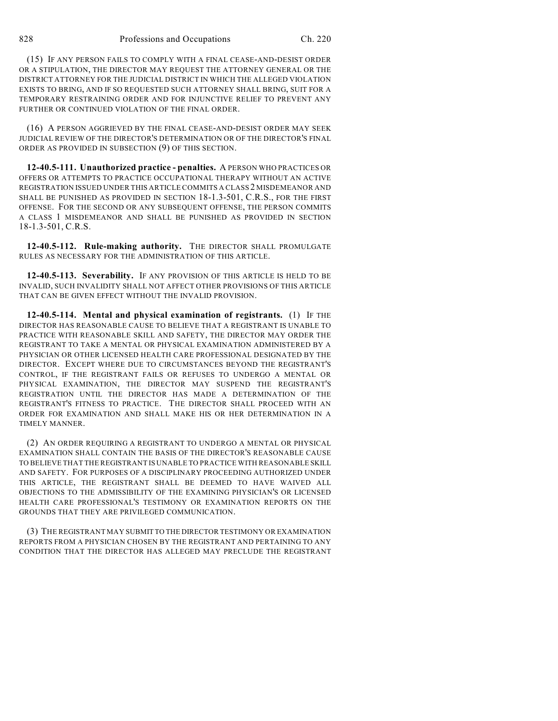(15) IF ANY PERSON FAILS TO COMPLY WITH A FINAL CEASE-AND-DESIST ORDER OR A STIPULATION, THE DIRECTOR MAY REQUEST THE ATTORNEY GENERAL OR THE DISTRICT ATTORNEY FOR THE JUDICIAL DISTRICT IN WHICH THE ALLEGED VIOLATION EXISTS TO BRING, AND IF SO REQUESTED SUCH ATTORNEY SHALL BRING, SUIT FOR A TEMPORARY RESTRAINING ORDER AND FOR INJUNCTIVE RELIEF TO PREVENT ANY FURTHER OR CONTINUED VIOLATION OF THE FINAL ORDER.

(16) A PERSON AGGRIEVED BY THE FINAL CEASE-AND-DESIST ORDER MAY SEEK JUDICIAL REVIEW OF THE DIRECTOR'S DETERMINATION OR OF THE DIRECTOR'S FINAL ORDER AS PROVIDED IN SUBSECTION (9) OF THIS SECTION.

**12-40.5-111. Unauthorized practice - penalties.** A PERSON WHO PRACTICES OR OFFERS OR ATTEMPTS TO PRACTICE OCCUPATIONAL THERAPY WITHOUT AN ACTIVE REGISTRATION ISSUED UNDER THIS ARTICLE COMMITS A CLASS 2 MISDEMEANOR AND SHALL BE PUNISHED AS PROVIDED IN SECTION 18-1.3-501, C.R.S., FOR THE FIRST OFFENSE. FOR THE SECOND OR ANY SUBSEQUENT OFFENSE, THE PERSON COMMITS A CLASS 1 MISDEMEANOR AND SHALL BE PUNISHED AS PROVIDED IN SECTION 18-1.3-501, C.R.S.

**12-40.5-112. Rule-making authority.** THE DIRECTOR SHALL PROMULGATE RULES AS NECESSARY FOR THE ADMINISTRATION OF THIS ARTICLE.

**12-40.5-113. Severability.** IF ANY PROVISION OF THIS ARTICLE IS HELD TO BE INVALID, SUCH INVALIDITY SHALL NOT AFFECT OTHER PROVISIONS OF THIS ARTICLE THAT CAN BE GIVEN EFFECT WITHOUT THE INVALID PROVISION.

**12-40.5-114. Mental and physical examination of registrants.** (1) IF THE DIRECTOR HAS REASONABLE CAUSE TO BELIEVE THAT A REGISTRANT IS UNABLE TO PRACTICE WITH REASONABLE SKILL AND SAFETY, THE DIRECTOR MAY ORDER THE REGISTRANT TO TAKE A MENTAL OR PHYSICAL EXAMINATION ADMINISTERED BY A PHYSICIAN OR OTHER LICENSED HEALTH CARE PROFESSIONAL DESIGNATED BY THE DIRECTOR. EXCEPT WHERE DUE TO CIRCUMSTANCES BEYOND THE REGISTRANT'S CONTROL, IF THE REGISTRANT FAILS OR REFUSES TO UNDERGO A MENTAL OR PHYSICAL EXAMINATION, THE DIRECTOR MAY SUSPEND THE REGISTRANT'S REGISTRATION UNTIL THE DIRECTOR HAS MADE A DETERMINATION OF THE REGISTRANT'S FITNESS TO PRACTICE. THE DIRECTOR SHALL PROCEED WITH AN ORDER FOR EXAMINATION AND SHALL MAKE HIS OR HER DETERMINATION IN A TIMELY MANNER.

(2) AN ORDER REQUIRING A REGISTRANT TO UNDERGO A MENTAL OR PHYSICAL EXAMINATION SHALL CONTAIN THE BASIS OF THE DIRECTOR'S REASONABLE CAUSE TO BELIEVE THAT THE REGISTRANT IS UNABLE TO PRACTICE WITH REASONABLE SKILL AND SAFETY. FOR PURPOSES OF A DISCIPLINARY PROCEEDING AUTHORIZED UNDER THIS ARTICLE, THE REGISTRANT SHALL BE DEEMED TO HAVE WAIVED ALL OBJECTIONS TO THE ADMISSIBILITY OF THE EXAMINING PHYSICIAN'S OR LICENSED HEALTH CARE PROFESSIONAL'S TESTIMONY OR EXAMINATION REPORTS ON THE GROUNDS THAT THEY ARE PRIVILEGED COMMUNICATION.

(3) THE REGISTRANT MAY SUBMIT TO THE DIRECTOR TESTIMONY OR EXAMINATION REPORTS FROM A PHYSICIAN CHOSEN BY THE REGISTRANT AND PERTAINING TO ANY CONDITION THAT THE DIRECTOR HAS ALLEGED MAY PRECLUDE THE REGISTRANT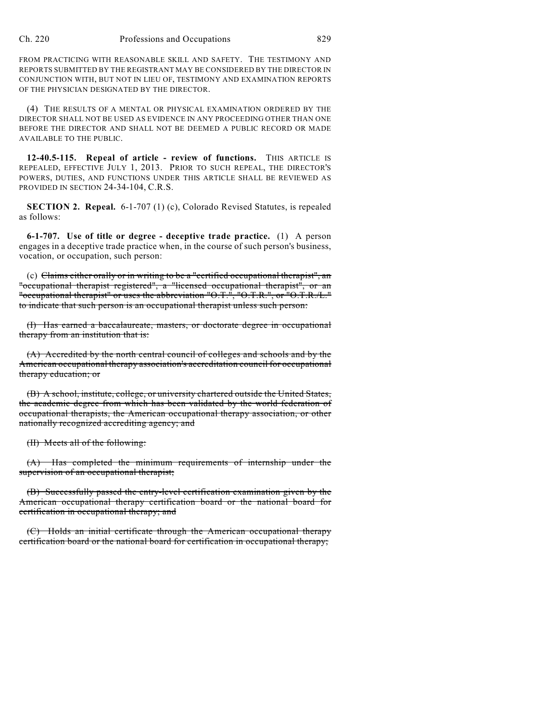FROM PRACTICING WITH REASONABLE SKILL AND SAFETY. THE TESTIMONY AND REPORTS SUBMITTED BY THE REGISTRANT MAY BE CONSIDERED BY THE DIRECTOR IN CONJUNCTION WITH, BUT NOT IN LIEU OF, TESTIMONY AND EXAMINATION REPORTS OF THE PHYSICIAN DESIGNATED BY THE DIRECTOR.

(4) THE RESULTS OF A MENTAL OR PHYSICAL EXAMINATION ORDERED BY THE DIRECTOR SHALL NOT BE USED AS EVIDENCE IN ANY PROCEEDING OTHER THAN ONE BEFORE THE DIRECTOR AND SHALL NOT BE DEEMED A PUBLIC RECORD OR MADE AVAILABLE TO THE PUBLIC.

**12-40.5-115. Repeal of article - review of functions.** THIS ARTICLE IS REPEALED, EFFECTIVE JULY 1, 2013. PRIOR TO SUCH REPEAL, THE DIRECTOR'S POWERS, DUTIES, AND FUNCTIONS UNDER THIS ARTICLE SHALL BE REVIEWED AS PROVIDED IN SECTION 24-34-104, C.R.S.

**SECTION 2. Repeal.** 6-1-707 (1) (c), Colorado Revised Statutes, is repealed as follows:

**6-1-707. Use of title or degree - deceptive trade practice.** (1) A person engages in a deceptive trade practice when, in the course of such person's business, vocation, or occupation, such person:

(c) Claims either orally or in writing to be a "certified occupational therapist", an "occupational therapist registered", a "licensed occupational therapist", or an "occupational therapist" or uses the abbreviation "O.T.", "O.T.R.", or "O.T.R./L." to indicate that such person is an occupational therapist unless such person:

(I) Has earned a baccalaureate, masters, or doctorate degree in occupational therapy from an institution that is:

(A) Accredited by the north central council of colleges and schools and by the American occupational therapy association's accreditation council for occupational therapy education; or

(B) A school, institute, college, or university chartered outside the United States, the academic degree from which has been validated by the world federation of occupational therapists, the American occupational therapy association, or other nationally recognized accrediting agency; and

(II) Meets all of the following:

(A) Has completed the minimum requirements of internship under the supervision of an occupational therapist;

(B) Successfully passed the entry-level certification examination given by the American occupational therapy certification board or the national board for certification in occupational therapy; and

(C) Holds an initial certificate through the American occupational therapy certification board or the national board for certification in occupational therapy;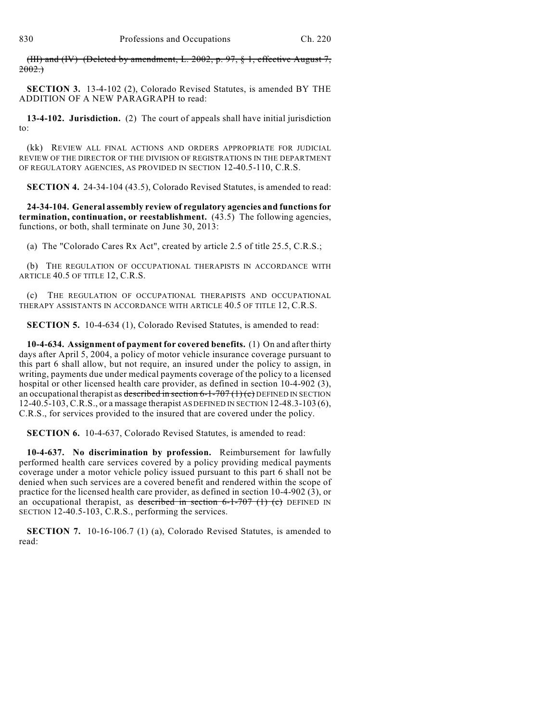(III) and (IV) (Deleted by amendment, L. 2002, p. 97, § 1, effective August 7,  $2002.$ 

**SECTION 3.** 13-4-102 (2), Colorado Revised Statutes, is amended BY THE ADDITION OF A NEW PARAGRAPH to read:

**13-4-102. Jurisdiction.** (2) The court of appeals shall have initial jurisdiction to:

(kk) REVIEW ALL FINAL ACTIONS AND ORDERS APPROPRIATE FOR JUDICIAL REVIEW OF THE DIRECTOR OF THE DIVISION OF REGISTRATIONS IN THE DEPARTMENT OF REGULATORY AGENCIES, AS PROVIDED IN SECTION 12-40.5-110, C.R.S.

**SECTION 4.** 24-34-104 (43.5), Colorado Revised Statutes, is amended to read:

**24-34-104. General assembly review of regulatory agencies and functions for termination, continuation, or reestablishment.** (43.5) The following agencies, functions, or both, shall terminate on June 30, 2013:

(a) The "Colorado Cares Rx Act", created by article 2.5 of title 25.5, C.R.S.;

(b) THE REGULATION OF OCCUPATIONAL THERAPISTS IN ACCORDANCE WITH ARTICLE 40.5 OF TITLE 12, C.R.S.

(c) THE REGULATION OF OCCUPATIONAL THERAPISTS AND OCCUPATIONAL THERAPY ASSISTANTS IN ACCORDANCE WITH ARTICLE 40.5 OF TITLE 12, C.R.S.

**SECTION 5.** 10-4-634 (1), Colorado Revised Statutes, is amended to read:

**10-4-634. Assignment of payment for covered benefits.** (1) On and after thirty days after April 5, 2004, a policy of motor vehicle insurance coverage pursuant to this part 6 shall allow, but not require, an insured under the policy to assign, in writing, payments due under medical payments coverage of the policy to a licensed hospital or other licensed health care provider, as defined in section 10-4-902 (3), an occupational therapist as described in section 6-1-707 (1) (c) DEFINED IN SECTION 12-40.5-103, C.R.S., or a massage therapist AS DEFINED IN SECTION 12-48.3-103 (6), C.R.S., for services provided to the insured that are covered under the policy.

**SECTION 6.** 10-4-637, Colorado Revised Statutes, is amended to read:

**10-4-637. No discrimination by profession.** Reimbursement for lawfully performed health care services covered by a policy providing medical payments coverage under a motor vehicle policy issued pursuant to this part 6 shall not be denied when such services are a covered benefit and rendered within the scope of practice for the licensed health care provider, as defined in section 10-4-902 (3), or an occupational therapist, as described in section  $6-1-707$  (1) (c) DEFINED IN SECTION 12-40.5-103, C.R.S., performing the services.

**SECTION 7.** 10-16-106.7 (1) (a), Colorado Revised Statutes, is amended to read: